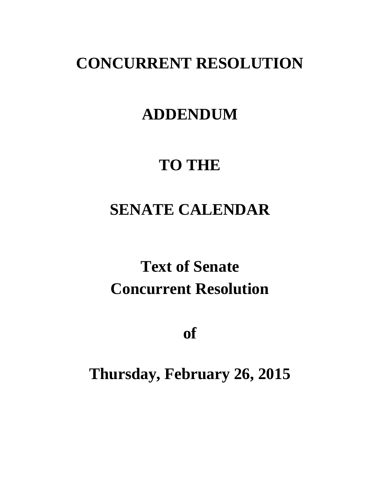### **CONCURRENT RESOLUTION**

### **ADDENDUM**

# **TO THE**

# **SENATE CALENDAR**

# **Text of Senate Concurrent Resolution**

**of**

# **Thursday, February 26, 2015**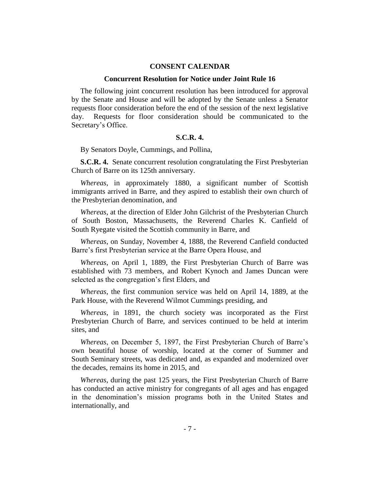#### **CONSENT CALENDAR**

#### **Concurrent Resolution for Notice under Joint Rule 16**

The following joint concurrent resolution has been introduced for approval by the Senate and House and will be adopted by the Senate unless a Senator requests floor consideration before the end of the session of the next legislative day. Requests for floor consideration should be communicated to the Secretary's Office.

#### **S.C.R. 4.**

By Senators Doyle, Cummings, and Pollina,

**S.C.R. 4.** Senate concurrent resolution congratulating the First Presbyterian Church of Barre on its 125th anniversary.

*Whereas*, in approximately 1880, a significant number of Scottish immigrants arrived in Barre, and they aspired to establish their own church of the Presbyterian denomination, and

*Whereas*, at the direction of Elder John Gilchrist of the Presbyterian Church of South Boston, Massachusetts, the Reverend Charles K. Canfield of South Ryegate visited the Scottish community in Barre, and

*Whereas*, on Sunday, November 4, 1888, the Reverend Canfield conducted Barre's first Presbyterian service at the Barre Opera House, and

*Whereas*, on April 1, 1889, the First Presbyterian Church of Barre was established with 73 members, and Robert Kynoch and James Duncan were selected as the congregation's first Elders, and

*Whereas*, the first communion service was held on April 14, 1889, at the Park House, with the Reverend Wilmot Cummings presiding, and

*Whereas*, in 1891, the church society was incorporated as the First Presbyterian Church of Barre, and services continued to be held at interim sites, and

*Whereas*, on December 5, 1897, the First Presbyterian Church of Barre's own beautiful house of worship, located at the corner of Summer and South Seminary streets, was dedicated and, as expanded and modernized over the decades, remains its home in 2015, and

*Whereas*, during the past 125 years, the First Presbyterian Church of Barre has conducted an active ministry for congregants of all ages and has engaged in the denomination's mission programs both in the United States and internationally, and